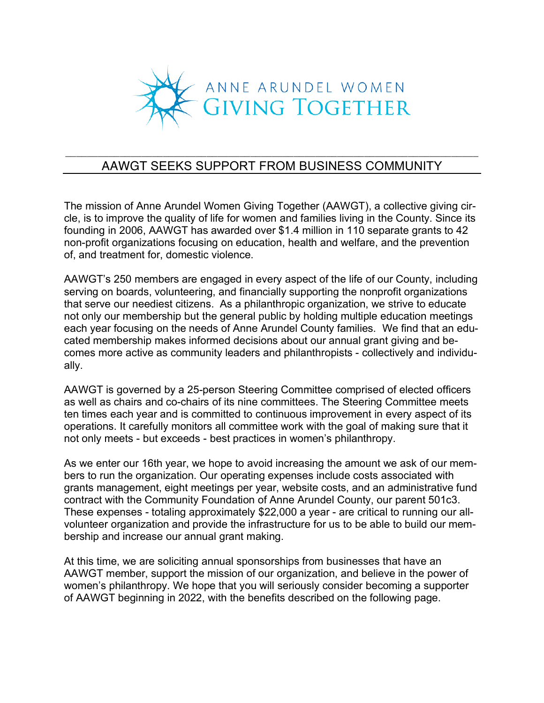

## \_\_\_\_\_\_\_\_\_\_\_\_\_\_\_\_\_\_\_\_\_\_\_\_\_\_\_\_\_\_\_\_\_\_\_\_\_\_\_\_\_\_\_\_\_\_\_\_\_\_\_\_\_\_\_\_\_\_\_\_\_\_\_\_\_\_\_\_\_\_\_\_\_\_\_\_ AAWGT SEEKS SUPPORT FROM BUSINESS COMMUNITY

The mission of Anne Arundel Women Giving Together (AAWGT), a collective giving circle, is to improve the quality of life for women and families living in the County. Since its founding in 2006, AAWGT has awarded over \$1.4 million in 110 separate grants to 42 non-profit organizations focusing on education, health and welfare, and the prevention of, and treatment for, domestic violence.

AAWGT's 250 members are engaged in every aspect of the life of our County, including serving on boards, volunteering, and financially supporting the nonprofit organizations that serve our neediest citizens. As a philanthropic organization, we strive to educate not only our membership but the general public by holding multiple education meetings each year focusing on the needs of Anne Arundel County families. We find that an educated membership makes informed decisions about our annual grant giving and becomes more active as community leaders and philanthropists - collectively and individually.

AAWGT is governed by a 25-person Steering Committee comprised of elected officers as well as chairs and co-chairs of its nine committees. The Steering Committee meets ten times each year and is committed to continuous improvement in every aspect of its operations. It carefully monitors all committee work with the goal of making sure that it not only meets - but exceeds - best practices in women's philanthropy.

As we enter our 16th year, we hope to avoid increasing the amount we ask of our members to run the organization. Our operating expenses include costs associated with grants management, eight meetings per year, website costs, and an administrative fund contract with the Community Foundation of Anne Arundel County, our parent 501c3. These expenses - totaling approximately \$22,000 a year - are critical to running our allvolunteer organization and provide the infrastructure for us to be able to build our membership and increase our annual grant making.

At this time, we are soliciting annual sponsorships from businesses that have an AAWGT member, support the mission of our organization, and believe in the power of women's philanthropy. We hope that you will seriously consider becoming a supporter of AAWGT beginning in 2022, with the benefits described on the following page.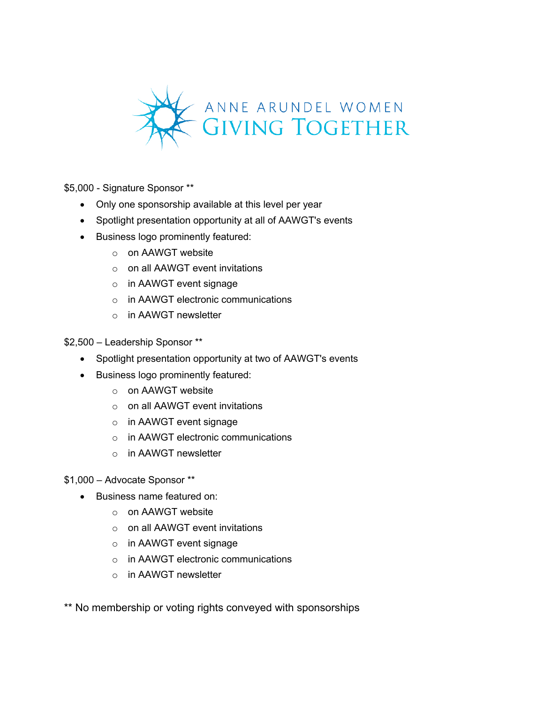

\$5,000 - Signature Sponsor \*\*

- Only one sponsorship available at this level per year
- Spotlight presentation opportunity at all of AAWGT's events
- Business logo prominently featured:
	- o on AAWGT website
	- $\circ$  on all AAWGT event invitations
	- o in AAWGT event signage
	- $\circ$  in AAWGT electronic communications
	- o in AAWGT newsletter

\$2,500 – Leadership Sponsor \*\*

- Spotlight presentation opportunity at two of AAWGT's events
- Business logo prominently featured:
	- o on AAWGT website
	- o on all AAWGT event invitations
	- o in AAWGT event signage
	- o in AAWGT electronic communications
	- o in AAWGT newsletter

## \$1,000 – Advocate Sponsor \*\*

- Business name featured on:
	- o on AAWGT website
	- o on all AAWGT event invitations
	- o in AAWGT event signage
	- o in AAWGT electronic communications
	- o in AAWGT newsletter

\*\* No membership or voting rights conveyed with sponsorships